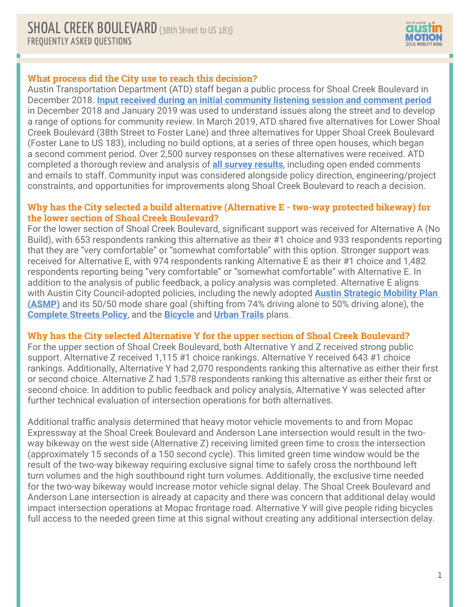

## **What process did the City use to reach this decision?**

Austin Transportation Department (ATD) staff began a public process for Shoal Creek Boulevard in December 2018. **[Input received during an initial community listening session and comment period](https://austintexas.gov/sites/default/files/files/Shoal_Creek_Public_Input_Summary.pdf)** in December 2018 and January 2019 was used to understand issues along the street and to develop a range of options for community review. In March 2019, ATD shared five alternatives for Lower Shoal Creek Boulevard (38th Street to Foster Lane) and three alternatives for Upper Shoal Creek Boulevard (Foster Lane to US 183), including no build options, at a series of three open houses, which began a second comment period. Over 2,500 survey responses on these alternatives were received. ATD completed a thorough review and analysis of **[all survey results](https://www.austintexas.gov/sites/default/files/files/Shoal_Creek_Data_Report_June17-compressed.pdf)**, including open ended comments and emails to staff. Community input was considered alongside policy direction, engineering/project constraints, and opportunities for improvements along Shoal Creek Boulevard to reach a decision.

### **Why has the City selected a build alternative (Alternative E - two-way protected bikeway) for the lower section of Shoal Creek Boulevard?**

For the lower section of Shoal Creek Boulevard, significant support was received for Alternative A (No Build), with 653 respondents ranking this alternative as their #1 choice and 933 respondents reporting that they are "very comfortable" or "somewhat comfortable" with this option. Stronger support was received for Alternative E, with 974 respondents ranking Alternative E as their #1 choice and 1,482 respondents reporting being "very comfortable" or "somewhat comfortable" with Alternative E. In addition to the analysis of public feedback, a policy analysis was completed. Alternative E aligns with Austin City Council-adopted policies, including the newly adopted **[Austin Strategic Mobility Plan](http://austintexas.gov/asmp)  [\(ASMP\)](http://austintexas.gov/asmp)** and its 50/50 mode share goal (shifting from 74% driving alone to 50% driving alone), the **[Complete Streets Policy](http://www.austintexas.gov/complete-streets)**, and the **[Bicycle](http://www.austintexas.gov/page/austin-bicycle-master-plan)** and **[Urban Trails](https://app.box.com/s/i80p4ee7vytuq67k9pgz)** plans.

# **Why has the City selected Alternative Y for the upper section of Shoal Creek Boulevard?**

For the upper section of Shoal Creek Boulevard, both Alternative Y and Z received strong public support. Alternative Z received 1,115 #1 choice rankings. Alternative Y received 643 #1 choice rankings. Additionally, Alternative Y had 2,070 respondents ranking this alternative as either their first or second choice. Alternative Z had 1,578 respondents ranking this alternative as either their first or second choice. In addition to public feedback and policy analysis, Alternative Y was selected after further technical evaluation of intersection operations for both alternatives.

Additional traffic analysis determined that heavy motor vehicle movements to and from Mopac Expressway at the Shoal Creek Boulevard and Anderson Lane intersection would result in the twoway bikeway on the west side (Alternative Z) receiving limited green time to cross the intersection (approximately 15 seconds of a 150 second cycle). This limited green time window would be the result of the two-way bikeway requiring exclusive signal time to safely cross the northbound left turn volumes and the high southbound right turn volumes. Additionally, the exclusive time needed for the two-way bikeway would increase motor vehicle signal delay. The Shoal Creek Boulevard and Anderson Lane intersection is already at capacity and there was concern that additional delay would impact intersection operations at Mopac frontage road. Alternative Y will give people riding bicycles full access to the needed green time at this signal without creating any additional intersection delay.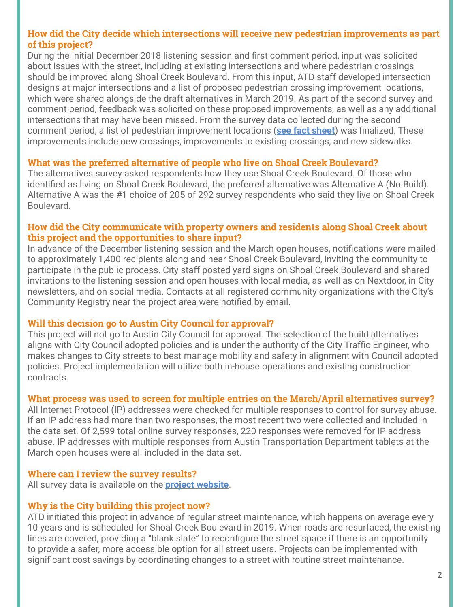## **How did the City decide which intersections will receive new pedestrian improvements as part of this project?**

During the initial December 2018 listening session and first comment period, input was solicited about issues with the street, including at existing intersections and where pedestrian crossings should be improved along Shoal Creek Boulevard. From this input, ATD staff developed intersection designs at major intersections and a list of proposed pedestrian crossing improvement locations, which were shared alongside the draft alternatives in March 2019. As part of the second survey and comment period, feedback was solicited on these proposed improvements, as well as any additional intersections that may have been missed. From the survey data collected during the second comment period, a list of pedestrian improvement locations (**[see fact sheet](https://austintexas.gov/sites/default/files/files/SCB_Fact_Sheet_Final_061819.pdf)**) was finalized. These improvements include new crossings, improvements to existing crossings, and new sidewalks.

#### **What was the preferred alternative of people who live on Shoal Creek Boulevard?**

The alternatives survey asked respondents how they use Shoal Creek Boulevard. Of those who identified as living on Shoal Creek Boulevard, the preferred alternative was Alternative A (No Build). Alternative A was the #1 choice of 205 of 292 survey respondents who said they live on Shoal Creek Boulevard.

### **How did the City communicate with property owners and residents along Shoal Creek about this project and the opportunities to share input?**

In advance of the December listening session and the March open houses, notifications were mailed to approximately 1,400 recipients along and near Shoal Creek Boulevard, inviting the community to participate in the public process. City staff posted yard signs on Shoal Creek Boulevard and shared invitations to the listening session and open houses with local media, as well as on Nextdoor, in City newsletters, and on social media. Contacts at all registered community organizations with the City's Community Registry near the project area were notified by email.

#### **Will this decision go to Austin City Council for approval?**

This project will not go to Austin City Council for approval. The selection of the build alternatives aligns with City Council adopted policies and is under the authority of the City Traffic Engineer, who makes changes to City streets to best manage mobility and safety in alignment with Council adopted policies. Project implementation will utilize both in-house operations and existing construction contracts.

#### **What process was used to screen for multiple entries on the March/April alternatives survey?**

All Internet Protocol (IP) addresses were checked for multiple responses to control for survey abuse. If an IP address had more than two responses, the most recent two were collected and included in the data set. Of 2,599 total online survey responses, 220 responses were removed for IP address abuse. IP addresses with multiple responses from Austin Transportation Department tablets at the March open houses were all included in the data set.

#### **Where can I review the survey results?**

All survey data is available on the **[project website](http://austintexas.gov/shoalcreekblvd)**.

#### **Why is the City building this project now?**

ATD initiated this project in advance of regular street maintenance, which happens on average every 10 years and is scheduled for Shoal Creek Boulevard in 2019. When roads are resurfaced, the existing lines are covered, providing a "blank slate" to reconfigure the street space if there is an opportunity to provide a safer, more accessible option for all street users. Projects can be implemented with significant cost savings by coordinating changes to a street with routine street maintenance.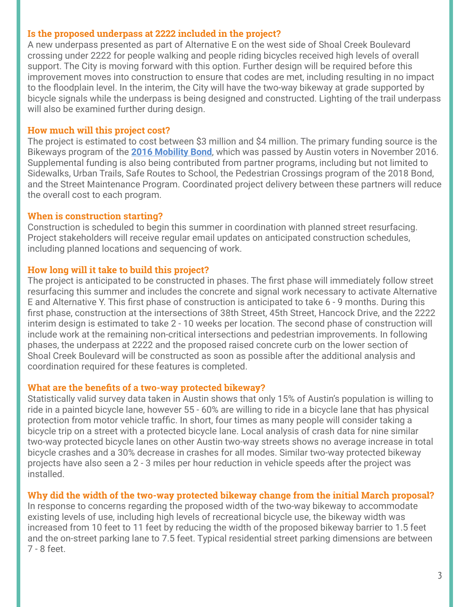## **Is the proposed underpass at 2222 included in the project?**

A new underpass presented as part of Alternative E on the west side of Shoal Creek Boulevard crossing under 2222 for people walking and people riding bicycles received high levels of overall support. The City is moving forward with this option. Further design will be required before this improvement moves into construction to ensure that codes are met, including resulting in no impact to the floodplain level. In the interim, the City will have the two-way bikeway at grade supported by bicycle signals while the underpass is being designed and constructed. Lighting of the trail underpass will also be examined further during design.

#### **How much will this project cost?**

The project is estimated to cost between \$3 million and \$4 million. The primary funding source is the Bikeways program of the **[2016 Mobility Bond](http://austintexas.gov/2016bond)**, which was passed by Austin voters in November 2016. Supplemental funding is also being contributed from partner programs, including but not limited to Sidewalks, Urban Trails, Safe Routes to School, the Pedestrian Crossings program of the 2018 Bond, and the Street Maintenance Program. Coordinated project delivery between these partners will reduce the overall cost to each program.

#### **When is construction starting?**

Construction is scheduled to begin this summer in coordination with planned street resurfacing. Project stakeholders will receive regular email updates on anticipated construction schedules, including planned locations and sequencing of work.

#### **How long will it take to build this project?**

The project is anticipated to be constructed in phases. The first phase will immediately follow street resurfacing this summer and includes the concrete and signal work necessary to activate Alternative E and Alternative Y. This first phase of construction is anticipated to take 6 - 9 months. During this first phase, construction at the intersections of 38th Street, 45th Street, Hancock Drive, and the 2222 interim design is estimated to take 2 - 10 weeks per location. The second phase of construction will include work at the remaining non-critical intersections and pedestrian improvements. In following phases, the underpass at 2222 and the proposed raised concrete curb on the lower section of Shoal Creek Boulevard will be constructed as soon as possible after the additional analysis and coordination required for these features is completed.

#### **What are the benefits of a two-way protected bikeway?**

Statistically valid survey data taken in Austin shows that only 15% of Austin's population is willing to ride in a painted bicycle lane, however 55 - 60% are willing to ride in a bicycle lane that has physical protection from motor vehicle traffic. In short, four times as many people will consider taking a bicycle trip on a street with a protected bicycle lane. Local analysis of crash data for nine similar two-way protected bicycle lanes on other Austin two-way streets shows no average increase in total bicycle crashes and a 30% decrease in crashes for all modes. Similar two-way protected bikeway projects have also seen a 2 - 3 miles per hour reduction in vehicle speeds after the project was installed.

## **Why did the width of the two-way protected bikeway change from the initial March proposal?**

In response to concerns regarding the proposed width of the two-way bikeway to accommodate existing levels of use, including high levels of recreational bicycle use, the bikeway width was increased from 10 feet to 11 feet by reducing the width of the proposed bikeway barrier to 1.5 feet and the on-street parking lane to 7.5 feet. Typical residential street parking dimensions are between 7 - 8 feet.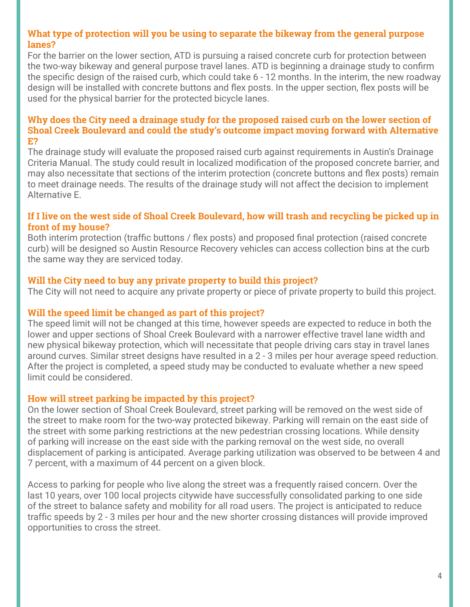## **What type of protection will you be using to separate the bikeway from the general purpose lanes?**

For the barrier on the lower section, ATD is pursuing a raised concrete curb for protection between the two-way bikeway and general purpose travel lanes. ATD is beginning a drainage study to confirm the specific design of the raised curb, which could take 6 - 12 months. In the interim, the new roadway design will be installed with concrete buttons and flex posts. In the upper section, flex posts will be used for the physical barrier for the protected bicycle lanes.

#### **Why does the City need a drainage study for the proposed raised curb on the lower section of Shoal Creek Boulevard and could the study's outcome impact moving forward with Alternative E?**

The drainage study will evaluate the proposed raised curb against requirements in Austin's Drainage Criteria Manual. The study could result in localized modification of the proposed concrete barrier, and may also necessitate that sections of the interim protection (concrete buttons and flex posts) remain to meet drainage needs. The results of the drainage study will not affect the decision to implement Alternative E.

## **If I live on the west side of Shoal Creek Boulevard, how will trash and recycling be picked up in front of my house?**

Both interim protection (traffic buttons / flex posts) and proposed final protection (raised concrete curb) will be designed so Austin Resource Recovery vehicles can access collection bins at the curb the same way they are serviced today.

# **Will the City need to buy any private property to build this project?**

The City will not need to acquire any private property or piece of private property to build this project.

## **Will the speed limit be changed as part of this project?**

The speed limit will not be changed at this time, however speeds are expected to reduce in both the lower and upper sections of Shoal Creek Boulevard with a narrower effective travel lane width and new physical bikeway protection, which will necessitate that people driving cars stay in travel lanes around curves. Similar street designs have resulted in a 2 - 3 miles per hour average speed reduction. After the project is completed, a speed study may be conducted to evaluate whether a new speed limit could be considered.

# **How will street parking be impacted by this project?**

On the lower section of Shoal Creek Boulevard, street parking will be removed on the west side of the street to make room for the two-way protected bikeway. Parking will remain on the east side of the street with some parking restrictions at the new pedestrian crossing locations. While density of parking will increase on the east side with the parking removal on the west side, no overall displacement of parking is anticipated. Average parking utilization was observed to be between 4 and 7 percent, with a maximum of 44 percent on a given block.

Access to parking for people who live along the street was a frequently raised concern. Over the last 10 years, over 100 local projects citywide have successfully consolidated parking to one side of the street to balance safety and mobility for all road users. The project is anticipated to reduce traffic speeds by 2 - 3 miles per hour and the new shorter crossing distances will provide improved opportunities to cross the street.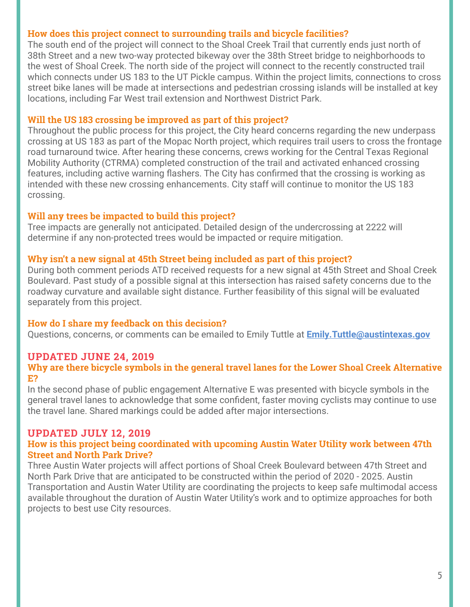# **How does this project connect to surrounding trails and bicycle facilities?**

The south end of the project will connect to the Shoal Creek Trail that currently ends just north of 38th Street and a new two-way protected bikeway over the 38th Street bridge to neighborhoods to the west of Shoal Creek. The north side of the project will connect to the recently constructed trail which connects under US 183 to the UT Pickle campus. Within the project limits, connections to cross street bike lanes will be made at intersections and pedestrian crossing islands will be installed at key locations, including Far West trail extension and Northwest District Park.

### **Will the US 183 crossing be improved as part of this project?**

Throughout the public process for this project, the City heard concerns regarding the new underpass crossing at US 183 as part of the Mopac North project, which requires trail users to cross the frontage road turnaround twice. After hearing these concerns, crews working for the Central Texas Regional Mobility Authority (CTRMA) completed construction of the trail and activated enhanced crossing features, including active warning flashers. The City has confirmed that the crossing is working as intended with these new crossing enhancements. City staff will continue to monitor the US 183 crossing.

## **Will any trees be impacted to build this project?**

Tree impacts are generally not anticipated. Detailed design of the undercrossing at 2222 will determine if any non-protected trees would be impacted or require mitigation.

## **Why isn't a new signal at 45th Street being included as part of this project?**

During both comment periods ATD received requests for a new signal at 45th Street and Shoal Creek Boulevard. Past study of a possible signal at this intersection has raised safety concerns due to the roadway curvature and available sight distance. Further feasibility of this signal will be evaluated separately from this project.

## **How do I share my feedback on this decision?**

Questions, concerns, or comments can be emailed to Emily Tuttle at **[Emily.Tuttle@austintexas.gov](mailto:Emily.Tuttle%40austintexas.gov?subject=SCB%20FAQ)**

# **UPDATED JUNE 24, 2019**

### **Why are there bicycle symbols in the general travel lanes for the Lower Shoal Creek Alternative E?**

In the second phase of public engagement Alternative E was presented with bicycle symbols in the general travel lanes to acknowledge that some confident, faster moving cyclists may continue to use the travel lane. Shared markings could be added after major intersections.

## **UPDATED JULY 12, 2019**

### **How is this project being coordinated with upcoming Austin Water Utility work between 47th Street and North Park Drive?**

Three Austin Water projects will affect portions of Shoal Creek Boulevard between 47th Street and North Park Drive that are anticipated to be constructed within the period of 2020 - 2025. Austin Transportation and Austin Water Utility are coordinating the projects to keep safe multimodal access available throughout the duration of Austin Water Utility's work and to optimize approaches for both projects to best use City resources.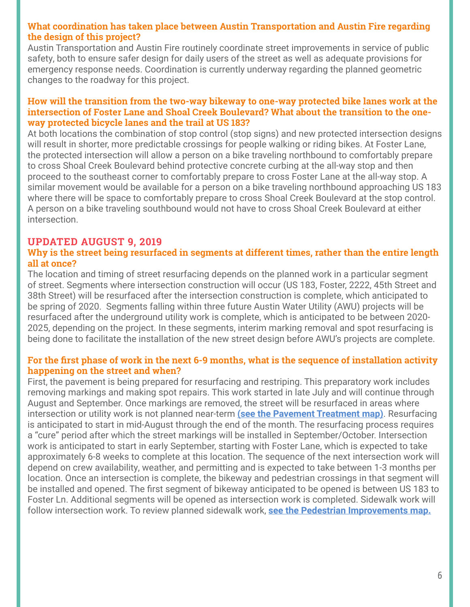# **What coordination has taken place between Austin Transportation and Austin Fire regarding the design of this project?**

Austin Transportation and Austin Fire routinely coordinate street improvements in service of public safety, both to ensure safer design for daily users of the street as well as adequate provisions for emergency response needs. Coordination is currently underway regarding the planned geometric changes to the roadway for this project.

### **How will the transition from the two-way bikeway to one-way protected bike lanes work at the intersection of Foster Lane and Shoal Creek Boulevard? What about the transition to the oneway protected bicycle lanes and the trail at US 183?**

At both locations the combination of stop control (stop signs) and new protected intersection designs will result in shorter, more predictable crossings for people walking or riding bikes. At Foster Lane, the protected intersection will allow a person on a bike traveling northbound to comfortably prepare to cross Shoal Creek Boulevard behind protective concrete curbing at the all-way stop and then proceed to the southeast corner to comfortably prepare to cross Foster Lane at the all-way stop. A similar movement would be available for a person on a bike traveling northbound approaching US 183 where there will be space to comfortably prepare to cross Shoal Creek Boulevard at the stop control. A person on a bike traveling southbound would not have to cross Shoal Creek Boulevard at either intersection.

# **UPDATED AUGUST 9, 2019**

### **Why is the street being resurfaced in segments at different times, rather than the entire length all at once?**

The location and timing of street resurfacing depends on the planned work in a particular segment of street. Segments where intersection construction will occur (US 183, Foster, 2222, 45th Street and 38th Street) will be resurfaced after the intersection construction is complete, which anticipated to be spring of 2020. Segments falling within three future Austin Water Utility (AWU) projects will be resurfaced after the underground utility work is complete, which is anticipated to be between 2020- 2025, depending on the project. In these segments, interim marking removal and spot resurfacing is being done to facilitate the installation of the new street design before AWU's projects are complete.

### **For the first phase of work in the next 6-9 months, what is the sequence of installation activity happening on the street and when?**

First, the pavement is being prepared for resurfacing and restriping. This preparatory work includes removing markings and making spot repairs. This work started in late July and will continue through August and September. Once markings are removed, the street will be resurfaced in areas where intersection or utility work is not planned near-term **[\(see the Pavement Treatment map\)](https://austintexas.gov/sites/default/files/files/Shoal_Creek_Pavement_Treatment_Map.pdf)**. Resurfacing is anticipated to start in mid-August through the end of the month. The resurfacing process requires a "cure" period after which the street markings will be installed in September/October. Intersection work is anticipated to start in early September, starting with Foster Lane, which is expected to take approximately 6-8 weeks to complete at this location. The sequence of the next intersection work will depend on crew availability, weather, and permitting and is expected to take between 1-3 months per location. Once an intersection is complete, the bikeway and pedestrian crossings in that segment will be installed and opened. The first segment of bikeway anticipated to be opened is between US 183 to Foster Ln. Additional segments will be opened as intersection work is completed. Sidewalk work will follow intersection work. To review planned sidewalk work, **[see the Pedestrian Improvements map.](https://austintexas.gov/sites/default/files/files/SCB_Fact_Sheet_Final_061819.pdf)**